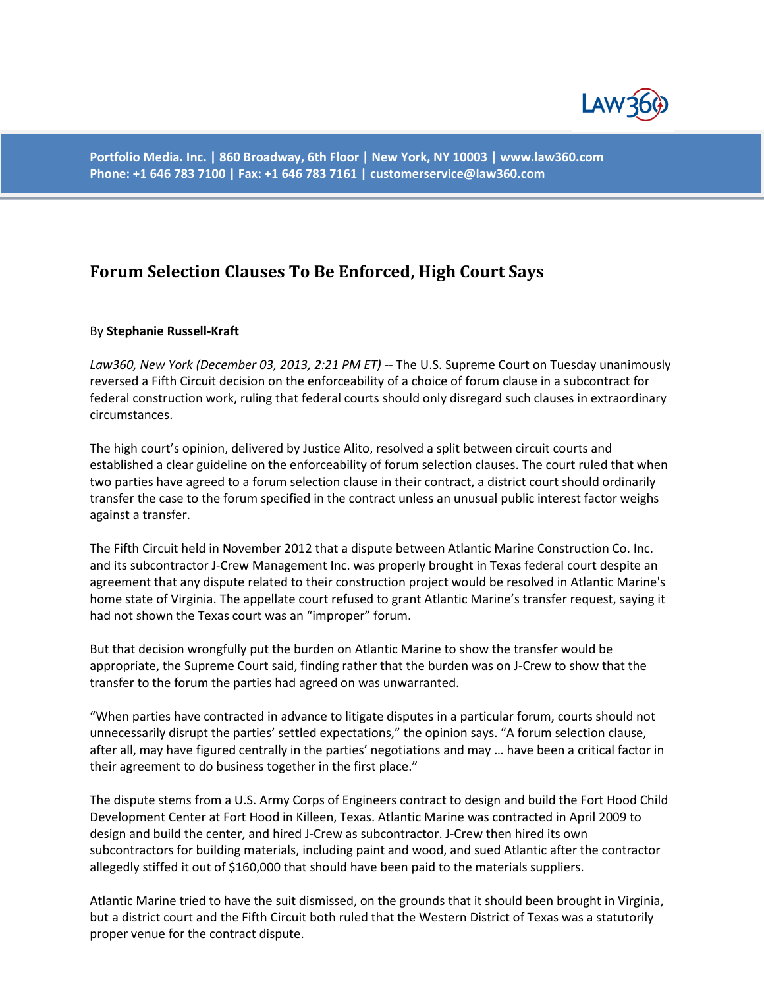

**Portfolio Media. Inc. | 860 Broadway, 6th Floor | New York, NY 10003 | www.law360.com Phone: +1 646 783 7100 | Fax: +1 646 783 7161 | customerservice@law360.com**

## **Forum Selection Clauses To Be Enforced, High Court Says**

## By **Stephanie Russell-Kraft**

*Law360, New York (December 03, 2013, 2:21 PM ET)* -- The U.S. Supreme Court on Tuesday unanimously reversed a Fifth Circuit decision on the enforceability of a choice of forum clause in a subcontract for federal construction work, ruling that federal courts should only disregard such clauses in extraordinary circumstances.

The high court's opinion, delivered by Justice Alito, resolved a split between circuit courts and established a clear guideline on the enforceability of forum selection clauses. The court ruled that when two parties have agreed to a forum selection clause in their contract, a district court should ordinarily transfer the case to the forum specified in the contract unless an unusual public interest factor weighs against a transfer.

The Fifth Circuit held in November 2012 that a dispute between Atlantic Marine Construction Co. Inc. and its subcontractor J-Crew Management Inc. was properly brought in Texas federal court despite an agreement that any dispute related to their construction project would be resolved in Atlantic Marine's home state of Virginia. The appellate court refused to grant Atlantic Marine's transfer request, saying it had not shown the Texas court was an "improper" forum.

But that decision wrongfully put the burden on Atlantic Marine to show the transfer would be appropriate, the Supreme Court said, finding rather that the burden was on J-Crew to show that the transfer to the forum the parties had agreed on was unwarranted.

"When parties have contracted in advance to litigate disputes in a particular forum, courts should not unnecessarily disrupt the parties' settled expectations," the opinion says. "A forum selection clause, after all, may have figured centrally in the parties' negotiations and may … have been a critical factor in their agreement to do business together in the first place."

The dispute stems from a U.S. Army Corps of Engineers contract to design and build the Fort Hood Child Development Center at Fort Hood in Killeen, Texas. Atlantic Marine was contracted in April 2009 to design and build the center, and hired J-Crew as subcontractor. J-Crew then hired its own subcontractors for building materials, including paint and wood, and sued Atlantic after the contractor allegedly stiffed it out of \$160,000 that should have been paid to the materials suppliers.

Atlantic Marine tried to have the suit dismissed, on the grounds that it should been brought in Virginia, but a district court and the Fifth Circuit both ruled that the Western District of Texas was a statutorily proper venue for the contract dispute.